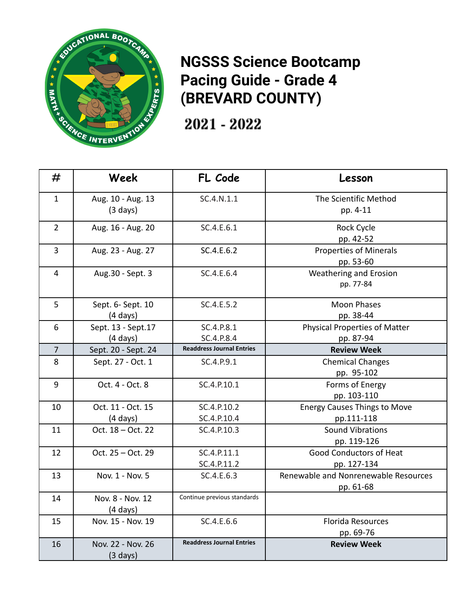

## **NGSSS Science Bootcamp Pacing Guide - Grade 4 (BREVARD COUNTY)**

2021 - 2022

| #              | Week                | FL Code                          | Lesson                               |
|----------------|---------------------|----------------------------------|--------------------------------------|
| $\mathbf{1}$   | Aug. 10 - Aug. 13   | SC.4.N.1.1                       | The Scientific Method                |
|                | $(3 \text{ days})$  |                                  | pp. 4-11                             |
| $\overline{2}$ | Aug. 16 - Aug. 20   | SC.4.E.6.1                       | Rock Cycle                           |
|                |                     |                                  | pp. 42-52                            |
| 3              | Aug. 23 - Aug. 27   | SC.4.E.6.2                       | <b>Properties of Minerals</b>        |
|                |                     |                                  | pp. 53-60                            |
| $\overline{4}$ | Aug.30 - Sept. 3    | SC.4.E.6.4                       | <b>Weathering and Erosion</b>        |
|                |                     |                                  | pp. 77-84                            |
| 5              | Sept. 6- Sept. 10   | SC.4.E.5.2                       | <b>Moon Phases</b>                   |
|                | $(4 \text{ days})$  |                                  | pp. 38-44                            |
| 6              | Sept. 13 - Sept. 17 | SC.4.P.8.1                       | <b>Physical Properties of Matter</b> |
|                | $(4 \text{ days})$  | SC.4.P.8.4                       | pp. 87-94                            |
| $\overline{7}$ | Sept. 20 - Sept. 24 | <b>Readdress Journal Entries</b> | <b>Review Week</b>                   |
| 8              | Sept. 27 - Oct. 1   | SC.4.P.9.1                       | <b>Chemical Changes</b>              |
|                |                     |                                  | pp. 95-102                           |
| 9              | Oct. 4 - Oct. 8     | SC.4.P.10.1                      | Forms of Energy                      |
|                |                     |                                  | pp. 103-110                          |
| 10             | Oct. 11 - Oct. 15   | SC.4.P.10.2                      | <b>Energy Causes Things to Move</b>  |
|                | $(4 \text{ days})$  | SC.4.P.10.4                      | pp.111-118                           |
| 11             | Oct. 18 - Oct. 22   | SC.4.P.10.3                      | <b>Sound Vibrations</b>              |
|                |                     |                                  | pp. 119-126                          |
| 12             | Oct. 25 - Oct. 29   | SC.4.P.11.1                      | Good Conductors of Heat              |
|                |                     | SC.4.P.11.2                      | pp. 127-134                          |
| 13             | Nov. 1 - Nov. 5     | SC.4.E.6.3                       | Renewable and Nonrenewable Resources |
|                |                     |                                  | pp. 61-68                            |
| 14             | Nov. 8 - Nov. 12    | Continue previous standards      |                                      |
|                | $(4 \text{ days})$  |                                  |                                      |
| 15             | Nov. 15 - Nov. 19   | SC.4.E.6.6                       | <b>Florida Resources</b>             |
|                |                     |                                  | pp. 69-76                            |
| 16             | Nov. 22 - Nov. 26   | <b>Readdress Journal Entries</b> | <b>Review Week</b>                   |
|                | $(3 \text{ days})$  |                                  |                                      |